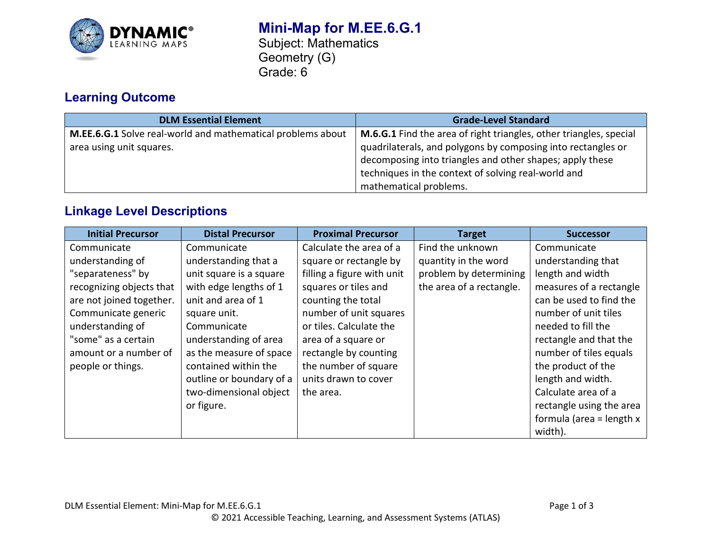

# **Learning Outcome**

| <b>DLM Essential Element</b>                                | <b>Grade-Level Standard</b>                                               |  |
|-------------------------------------------------------------|---------------------------------------------------------------------------|--|
| M.EE.6.G.1 Solve real-world and mathematical problems about | <b>M.6.G.1</b> Find the area of right triangles, other triangles, special |  |
| area using unit squares.                                    | quadrilaterals, and polygons by composing into rectangles or              |  |
|                                                             | decomposing into triangles and other shapes; apply these                  |  |
|                                                             | techniques in the context of solving real-world and                       |  |
|                                                             | mathematical problems.                                                    |  |

## **Linkage Level Descriptions**

| <b>Initial Precursor</b> | <b>Distal Precursor</b>  | <b>Proximal Precursor</b>  | <b>Target</b>            | <b>Successor</b>           |
|--------------------------|--------------------------|----------------------------|--------------------------|----------------------------|
| Communicate              | Communicate              | Calculate the area of a    | Find the unknown         | Communicate                |
| understanding of         | understanding that a     | square or rectangle by     | quantity in the word     | understanding that         |
| "separateness" by        | unit square is a square  | filling a figure with unit | problem by determining   | length and width           |
| recognizing objects that | with edge lengths of 1   | squares or tiles and       | the area of a rectangle. | measures of a rectangle    |
| are not joined together. | unit and area of 1       | counting the total         |                          | can be used to find the    |
| Communicate generic      | square unit.             | number of unit squares     |                          | number of unit tiles       |
| understanding of         | Communicate              | or tiles. Calculate the    |                          | needed to fill the         |
| "some" as a certain      | understanding of area    | area of a square or        |                          | rectangle and that the     |
| amount or a number of    | as the measure of space  | rectangle by counting      |                          | number of tiles equals     |
| people or things.        | contained within the     | the number of square       |                          | the product of the         |
|                          | outline or boundary of a | units drawn to cover       |                          | length and width.          |
|                          | two-dimensional object   | the area.                  |                          | Calculate area of a        |
|                          | or figure.               |                            |                          | rectangle using the area   |
|                          |                          |                            |                          | formula (area = length $x$ |
|                          |                          |                            |                          | width).                    |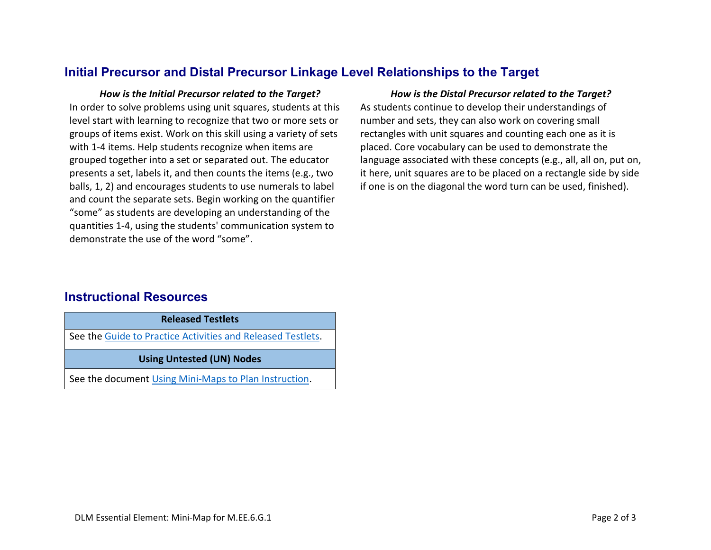## **Initial Precursor and Distal Precursor Linkage Level Relationships to the Target**

In order to solve problems using unit squares, students at this level start with learning to recognize that two or more sets or groups of items exist. Work on this skill using a variety of sets with 1-4 items. Help students recognize when items are grouped together into a set or separated out. The educator presents a set, labels it, and then counts the items (e.g., two balls, 1, 2) and encourages students to use numerals to label and count the separate sets. Begin working on the quantifier "some" as students are developing an understanding of the quantities 1-4, using the students' communication system to demonstrate the use of the word "some".

### *How is the Initial Precursor related to the Target? How is the Distal Precursor related to the Target?*

As students continue to develop their understandings of number and sets, they can also work on covering small rectangles with unit squares and counting each one as it is placed. Core vocabulary can be used to demonstrate the language associated with these concepts (e.g., all, all on, put on, it here, unit squares are to be placed on a rectangle side by side if one is on the diagonal the word turn can be used, finished).

## **Instructional Resources**

See the [Guide to Practice Activities and Released Testlets.](https://dynamiclearningmaps.org/sites/default/files/documents/Manuals_Blueprints/Guide_to_Practice_Activities_and_Released_Testlets.pdf)

**Using Untested (UN) Nodes**

See the document [Using Mini-Maps to Plan Instruction.](https://dynamiclearningmaps.org/sites/default/files/documents/Using_Mini_Maps_to_Plan_Instruction.pdf)